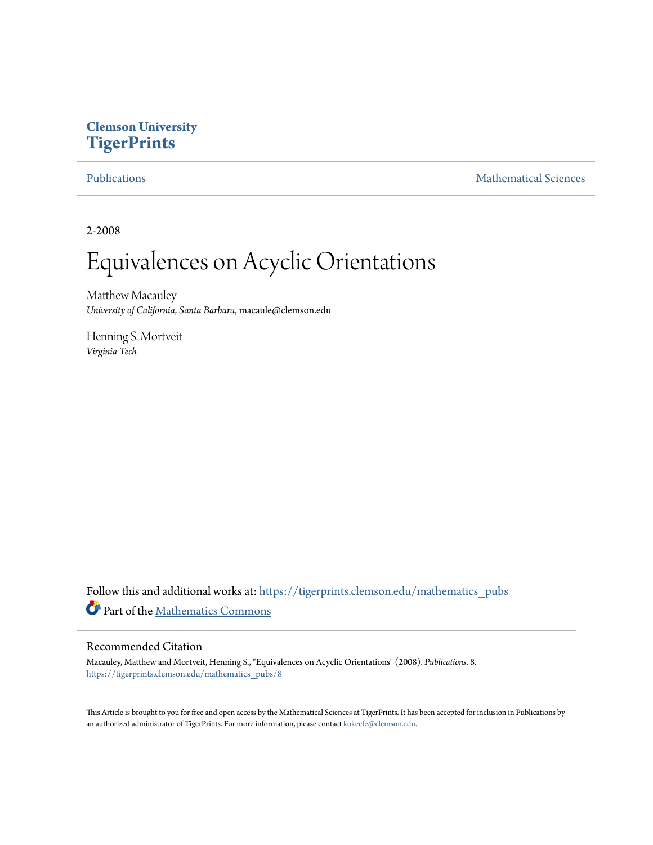# **Clemson University [TigerPrints](https://tigerprints.clemson.edu?utm_source=tigerprints.clemson.edu%2Fmathematics_pubs%2F8&utm_medium=PDF&utm_campaign=PDFCoverPages)**

[Publications](https://tigerprints.clemson.edu/mathematics_pubs?utm_source=tigerprints.clemson.edu%2Fmathematics_pubs%2F8&utm_medium=PDF&utm_campaign=PDFCoverPages) [Mathematical Sciences](https://tigerprints.clemson.edu/mathematics?utm_source=tigerprints.clemson.edu%2Fmathematics_pubs%2F8&utm_medium=PDF&utm_campaign=PDFCoverPages)

2-2008

# Equivalences on Acyclic Orientations

Matthew Macauley *University of California, Santa Barbara*, macaule@clemson.edu

Henning S. Mortveit *Virginia Tech*

Follow this and additional works at: [https://tigerprints.clemson.edu/mathematics\\_pubs](https://tigerprints.clemson.edu/mathematics_pubs?utm_source=tigerprints.clemson.edu%2Fmathematics_pubs%2F8&utm_medium=PDF&utm_campaign=PDFCoverPages) Part of the [Mathematics Commons](http://network.bepress.com/hgg/discipline/174?utm_source=tigerprints.clemson.edu%2Fmathematics_pubs%2F8&utm_medium=PDF&utm_campaign=PDFCoverPages)

## Recommended Citation

Macauley, Matthew and Mortveit, Henning S., "Equivalences on Acyclic Orientations" (2008). *Publications*. 8. [https://tigerprints.clemson.edu/mathematics\\_pubs/8](https://tigerprints.clemson.edu/mathematics_pubs/8?utm_source=tigerprints.clemson.edu%2Fmathematics_pubs%2F8&utm_medium=PDF&utm_campaign=PDFCoverPages)

This Article is brought to you for free and open access by the Mathematical Sciences at TigerPrints. It has been accepted for inclusion in Publications by an authorized administrator of TigerPrints. For more information, please contact [kokeefe@clemson.edu.](mailto:kokeefe@clemson.edu)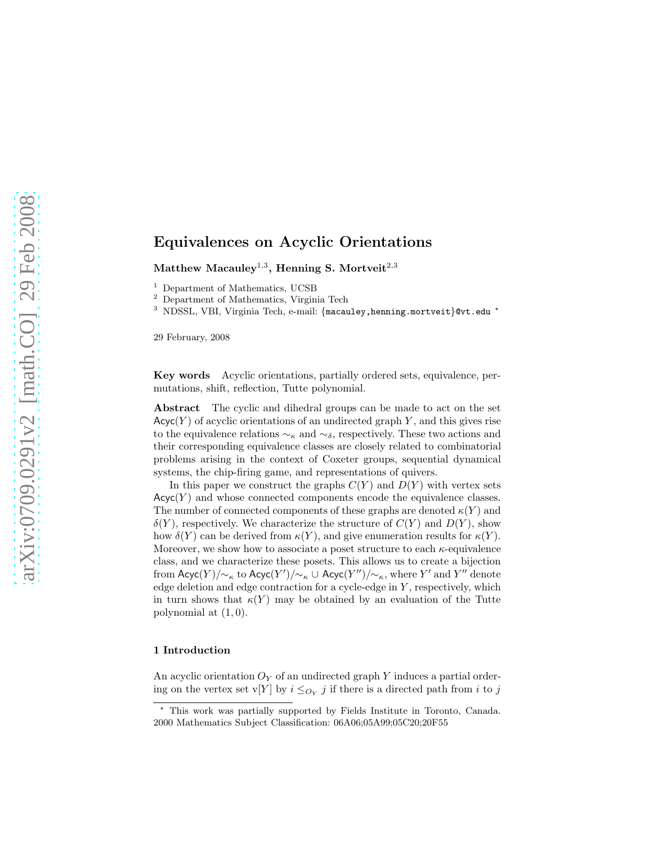Matthew Macauley $^{1,3},$  Henning S. Mortveit $^{2,3}$ 

<sup>1</sup> Department of Mathematics, UCSB

<sup>2</sup> Department of Mathematics, Virginia Tech

<sup>3</sup> NDSSL, VBI, Virginia Tech, e-mail: {macauley, henning.mortveit}@vt.edu <sup>\*</sup>

29 February, 2008

Key words Acyclic orientations, partially ordered sets, equivalence, permutations, shift, reflection, Tutte polynomial.

Abstract The cyclic and dihedral groups can be made to act on the set  $Acyc(Y)$  of acyclic orientations of an undirected graph Y, and this gives rise to the equivalence relations  $\sim_{\kappa}$  and  $\sim_{\delta}$ , respectively. These two actions and their corresponding equivalence classes are closely related to combinatorial problems arising in the context of Coxeter groups, sequential dynamical systems, the chip-firing game, and representations of quivers.

In this paper we construct the graphs  $C(Y)$  and  $D(Y)$  with vertex sets  $Acyc(Y)$  and whose connected components encode the equivalence classes. The number of connected components of these graphs are denoted  $\kappa(Y)$  and  $\delta(Y)$ , respectively. We characterize the structure of  $C(Y)$  and  $D(Y)$ , show how  $\delta(Y)$  can be derived from  $\kappa(Y)$ , and give enumeration results for  $\kappa(Y)$ . Moreover, we show how to associate a poset structure to each  $\kappa$ -equivalence class, and we characterize these posets. This allows us to create a bijection from  $\mathsf{Acyc}(Y)/{\sim_\kappa}$  to  $\mathsf{Acyc}(Y')/{\sim_\kappa} \cup \mathsf{Acyc}(Y'')/{\sim_\kappa},$  where  $Y'$  and  $Y''$  denote edge deletion and edge contraction for a cycle-edge in  $Y$ , respectively, which in turn shows that  $\kappa(Y)$  may be obtained by an evaluation of the Tutte polynomial at  $(1, 0)$ .

#### 1 Introduction

An acyclic orientation  $O_Y$  of an undirected graph Y induces a partial ordering on the vertex set v[Y] by  $i \leq_{O_Y} j$  if there is a directed path from i to j

<sup>⋆</sup> This work was partially supported by Fields Institute in Toronto, Canada. 2000 Mathematics Subject Classification: 06A06;05A99;05C20;20F55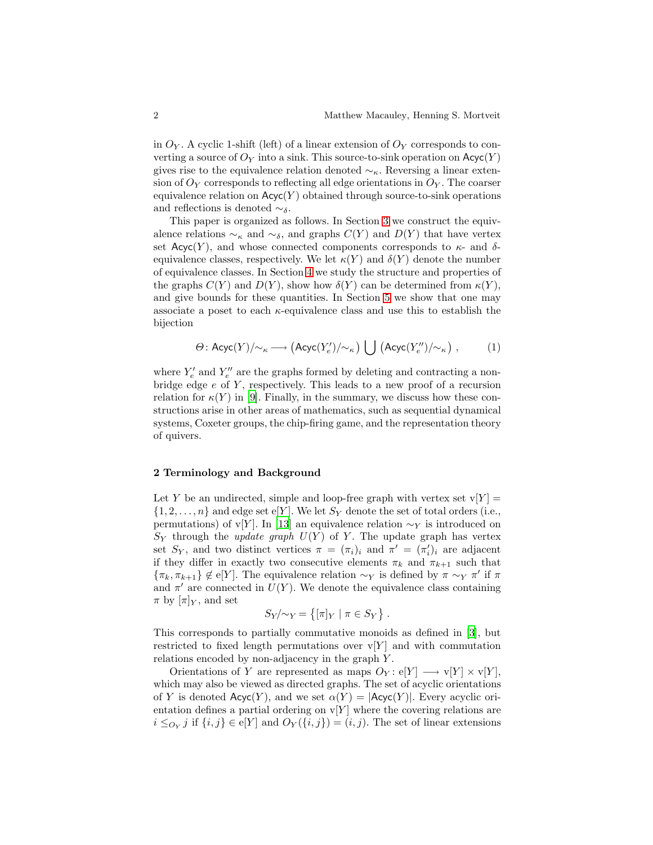in  $O_Y$ . A cyclic 1-shift (left) of a linear extension of  $O_Y$  corresponds to converting a source of  $O_Y$  into a sink. This source-to-sink operation on  $Acyc(Y)$ gives rise to the equivalence relation denoted  $\sim_{\kappa}$ . Reversing a linear extension of  $O<sub>Y</sub>$  corresponds to reflecting all edge orientations in  $O<sub>Y</sub>$ . The coarser equivalence relation on  $Acyc(Y)$  obtained through source-to-sink operations and reflections is denoted  $\sim_{\delta}$ .

This paper is organized as follows. In Section [3](#page-3-0) we construct the equivalence relations  $\sim_{\kappa}$  and  $\sim_{\delta}$ , and graphs  $C(Y)$  and  $D(Y)$  that have vertex set  $Acyc(Y)$ , and whose connected components corresponds to  $\kappa$ - and  $\delta$ equivalence classes, respectively. We let  $\kappa(Y)$  and  $\delta(Y)$  denote the number of equivalence classes. In Section [4](#page-5-0) we study the structure and properties of the graphs  $C(Y)$  and  $D(Y)$ , show how  $\delta(Y)$  can be determined from  $\kappa(Y)$ , and give bounds for these quantities. In Section [5](#page-7-0) we show that one may associate a poset to each  $\kappa$ -equivalence class and use this to establish the bijection

$$
\Theta\colon \mathsf{Acyc}(Y)/\!\!\sim_\kappa \longrightarrow \big(\mathsf{Acyc}(Y'_e)/\!\!\sim_\kappa\big)\, \bigcup \, \big(\mathsf{Acyc}(Y''_e)/\!\!\sim_\kappa\big)\;, \qquad \quad (1)
$$

where  $Y'_e$  and  $Y''_e$  are the graphs formed by deleting and contracting a nonbridge edge  $e$  of  $Y$ , respectively. This leads to a new proof of a recursion relation for  $\kappa(Y)$  in [\[9\]](#page-17-0). Finally, in the summary, we discuss how these constructions arise in other areas of mathematics, such as sequential dynamical systems, Coxeter groups, the chip-firing game, and the representation theory of quivers.

#### 2 Terminology and Background

Let Y be an undirected, simple and loop-free graph with vertex set  $v[Y] =$  $\{1, 2, \ldots, n\}$  and edge set e[Y]. We let  $S_Y$  denote the set of total orders (i.e., permutations) of v[Y]. In [\[13](#page-17-1)] an equivalence relation  $\sim_Y$  is introduced on  $S_Y$  through the *update graph*  $U(Y)$  of Y. The update graph has vertex set  $S_Y$ , and two distinct vertices  $\pi = (\pi_i)_i$  and  $\pi' = (\pi'_i)_i$  are adjacent if they differ in exactly two consecutive elements  $\pi_k$  and  $\pi_{k+1}$  such that  $\{\pi_k, \pi_{k+1}\}\notin \mathcal{e}[Y]$ . The equivalence relation  $\sim_Y$  is defined by  $\pi \sim_Y \pi'$  if  $\pi$ and  $\pi'$  are connected in  $U(Y)$ . We denote the equivalence class containing  $\pi$  by  $[\pi]_Y$ , and set

$$
S_Y/\sim_Y = \{ [\pi]_Y \mid \pi \in S_Y \} .
$$

This corresponds to partially commutative monoids as defined in [\[3](#page-17-2)], but restricted to fixed length permutations over  $v[Y]$  and with commutation relations encoded by non-adjacency in the graph Y .

Orientations of Y are represented as maps  $O_Y: e[Y] \longrightarrow v[Y] \times v[Y],$ which may also be viewed as directed graphs. The set of acyclic orientations of Y is denoted  $Acyc(Y)$ , and we set  $\alpha(Y) = |Acyc(Y)|$ . Every acyclic orientation defines a partial ordering on  $v[Y]$  where the covering relations are  $i \leq_{O_Y} j$  if  $\{i, j\} \in \mathcal{e}[Y]$  and  $O_Y(\{i, j\}) = (i, j)$ . The set of linear extensions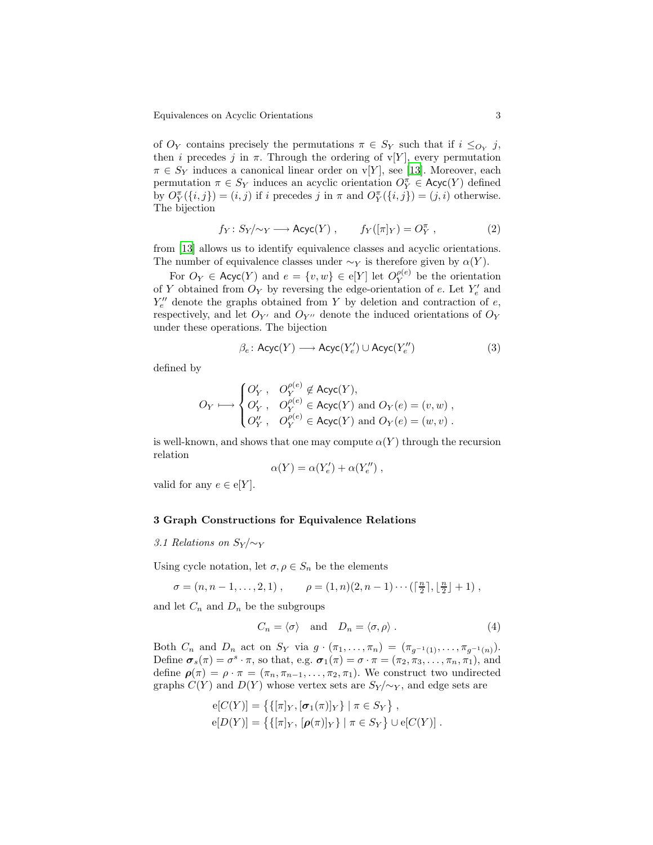of  $O_Y$  contains precisely the permutations  $\pi \in S_Y$  such that if  $i \leq_{O_Y} j$ , then *i* precedes *j* in  $\pi$ . Through the ordering of v[Y], every permutation  $\pi \in S_Y$  induces a canonical linear order on v[Y], see [\[13](#page-17-1)]. Moreover, each permutation  $\pi \in S_Y$  induces an acyclic orientation  $O_Y^{\pi} \in \mathsf{Acyc}(Y)$  defined by  $O_Y^{\pi}(\{i, j\}) = (i, j)$  if i precedes j in  $\pi$  and  $O_Y^{\pi}(\{i, j\}) = (j, i)$  otherwise. The bijection

<span id="page-3-1"></span>
$$
f_Y: S_Y/\sim_Y \longrightarrow \text{Acyc}(Y) , \qquad f_Y([\pi]_Y) = O_Y^{\pi} , \qquad (2)
$$

from [\[13\]](#page-17-1) allows us to identify equivalence classes and acyclic orientations. The number of equivalence classes under  $\sim_Y$  is therefore given by  $\alpha(Y)$ .

For  $O_Y \in \mathsf{Acyc}(Y)$  and  $e = \{v, w\} \in e[Y]$  let  $O_Y^{\rho(e)}$  be the orientation of Y obtained from  $O_Y$  by reversing the edge-orientation of e. Let  $Y'_e$  and  $Y''_e$  denote the graphs obtained from Y by deletion and contraction of  $e$ , respectively, and let  $O_{Y'}$  and  $O_{Y''}$  denote the induced orientations of  $O_Y$ under these operations. The bijection

<span id="page-3-2"></span>
$$
\beta_e \colon \text{Acyc}(Y) \longrightarrow \text{Acyc}(Y'_e) \cup \text{Acyc}(Y''_e) \tag{3}
$$

defined by

$$
O_Y \longmapsto \begin{cases} O'_Y \ , \quad O_Y^{\rho(e)} \not\in \mathsf{Acyc}(Y), \\ O'_Y \ , \quad O_Y^{\rho(e)} \in \mathsf{Acyc}(Y) \text{ and } O_Y(e) = (v,w) \ , \\ O''_Y \ , \quad O_Y^{\rho(e)} \in \mathsf{Acyc}(Y) \text{ and } O_Y(e) = (w,v) \ . \end{cases}
$$

is well-known, and shows that one may compute  $\alpha(Y)$  through the recursion relation

$$
\alpha(Y) = \alpha(Y'_e) + \alpha(Y''_e) ,
$$

valid for any  $e \in e[Y]$ .

#### <span id="page-3-0"></span>3 Graph Constructions for Equivalence Relations

#### 3.1 Relations on  $S_Y/\sim_Y$

Using cycle notation, let  $\sigma, \rho \in S_n$  be the elements

$$
\sigma = (n, n-1, \ldots, 2, 1), \qquad \rho = (1, n)(2, n-1) \cdots (\lceil \frac{n}{2} \rceil, \lfloor \frac{n}{2} \rfloor + 1),
$$

and let  $C_n$  and  $D_n$  be the subgroups

$$
C_n = \langle \sigma \rangle \quad \text{and} \quad D_n = \langle \sigma, \rho \rangle \,. \tag{4}
$$

Both  $C_n$  and  $D_n$  act on  $S_Y$  via  $g \cdot (\pi_1, ..., \pi_n) = (\pi_{g^{-1}(1)}, ..., \pi_{g^{-1}(n)})$ . Define  $\boldsymbol{\sigma}_s(\pi) = \sigma^s \cdot \pi$ , so that, e.g.  $\boldsymbol{\sigma}_1(\pi) = \sigma \cdot \pi = (\pi_2, \pi_3, \ldots, \pi_n, \pi_1)$ , and define  $\rho(\pi) = \rho \cdot \pi = (\pi_n, \pi_{n-1}, \ldots, \pi_2, \pi_1)$ . We construct two undirected graphs  $C(Y)$  and  $D(Y)$  whose vertex sets are  $S_Y/\sim_Y$ , and edge sets are

$$
e[C(Y)] = \{ \{ [\pi]_Y, [\sigma_1(\pi)]_Y \} | \pi \in S_Y \},
$$
  

$$
e[D(Y)] = \{ \{ [\pi]_Y, [\rho(\pi)]_Y \} | \pi \in S_Y \} \cup e[C(Y)].
$$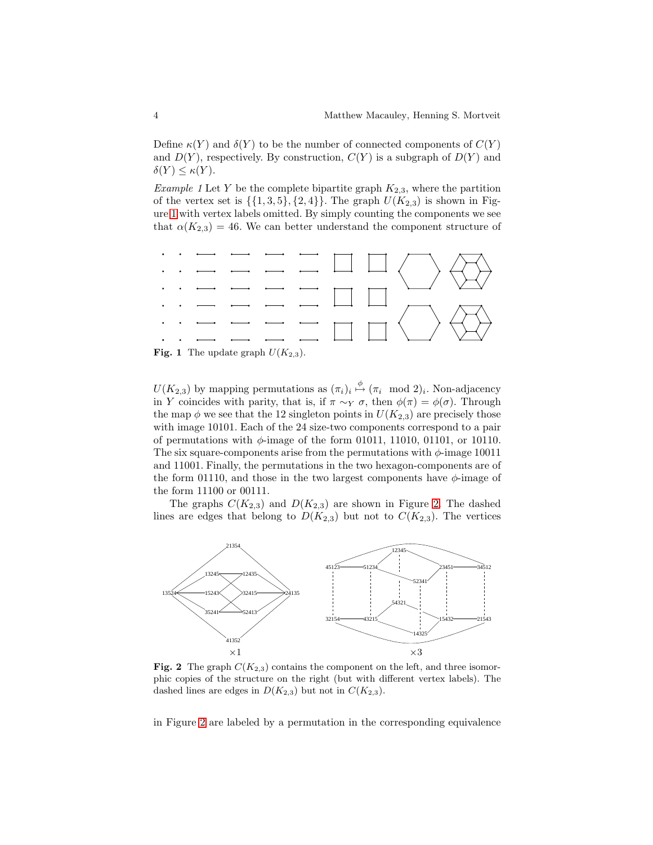Define  $\kappa(Y)$  and  $\delta(Y)$  to be the number of connected components of  $C(Y)$ and  $D(Y)$ , respectively. By construction,  $C(Y)$  is a subgraph of  $D(Y)$  and  $\delta(Y) \leq \kappa(Y)$ .

<span id="page-4-2"></span>*Example 1* Let Y be the complete bipartite graph  $K_{2,3}$ , where the partition of the vertex set is  $\{\{1,3,5\},\{2,4\}\}\.$  The graph  $U(K_{2,3})$  is shown in Figure [1](#page-4-0) with vertex labels omitted. By simply counting the components we see that  $\alpha(K_{2,3}) = 46$ . We can better understand the component structure of



<span id="page-4-0"></span>**Fig. 1** The update graph  $U(K_{2,3})$ .

 $U(K_{2,3})$  by mapping permutations as  $(\pi_i)_i \stackrel{\phi}{\mapsto} (\pi_i \mod 2)_i$ . Non-adjacency in Y coincides with parity, that is, if  $\pi \sim_Y \sigma$ , then  $\phi(\pi) = \phi(\sigma)$ . Through the map  $\phi$  we see that the 12 singleton points in  $U(K_{2,3})$  are precisely those with image 10101. Each of the 24 size-two components correspond to a pair of permutations with  $\phi$ -image of the form 01011, 11010, 01101, or 10110. The six square-components arise from the permutations with  $\phi$ -image 10011 and 11001. Finally, the permutations in the two hexagon-components are of the form 01110, and those in the two largest components have  $\phi$ -image of the form 11100 or 00111.

The graphs  $C(K_{2,3})$  and  $D(K_{2,3})$  are shown in Figure [2.](#page-4-1) The dashed lines are edges that belong to  $D(K_{2,3})$  but not to  $C(K_{2,3})$ . The vertices



<span id="page-4-1"></span>Fig. 2 The graph  $C(K_{2,3})$  contains the component on the left, and three isomorphic copies of the structure on the right (but with different vertex labels). The dashed lines are edges in  $D(K_{2,3})$  but not in  $C(K_{2,3})$ .

in Figure [2](#page-4-1) are labeled by a permutation in the corresponding equivalence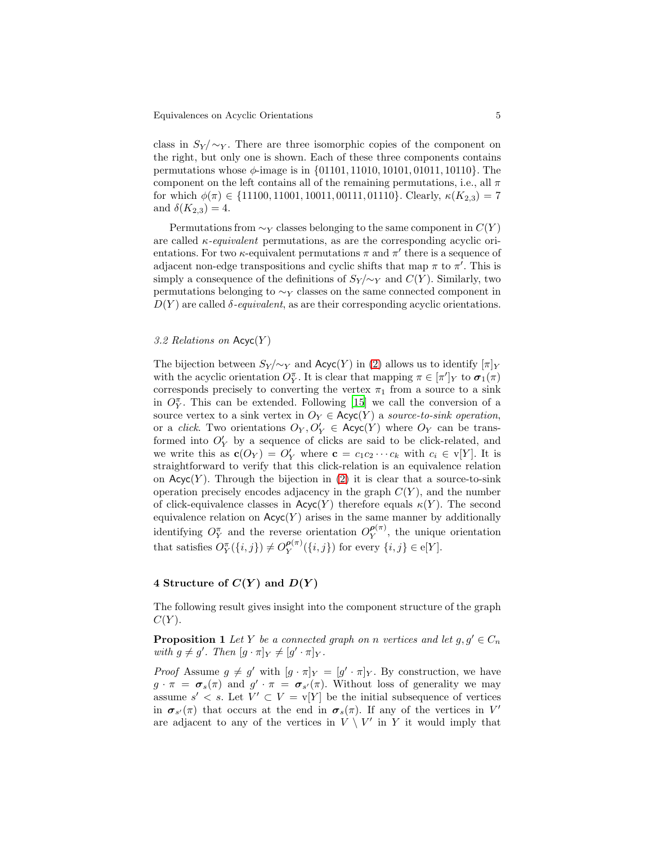class in  $S_Y/\sim_Y$ . There are three isomorphic copies of the component on the right, but only one is shown. Each of these three components contains permutations whose  $\phi$ -image is in  $\{01101, 11010, 10101, 01011, 10110\}$ . The component on the left contains all of the remaining permutations, i.e., all  $\pi$ for which  $\phi(\pi) \in \{11100, 11001, 10011, 00111, 01110\}$ . Clearly,  $\kappa(K_{2,3}) = 7$ and  $\delta(K_{2,3}) = 4$ .

Permutations from  $\sim_Y$  classes belonging to the same component in  $C(Y)$ are called  $\kappa$ -equivalent permutations, as are the corresponding acyclic orientations. For two  $\kappa$ -equivalent permutations  $\pi$  and  $\pi'$  there is a sequence of adjacent non-edge transpositions and cyclic shifts that map  $\pi$  to  $\pi'$ . This is simply a consequence of the definitions of  $S_Y/\sim_Y$  and  $C(Y)$ . Similarly, two permutations belonging to  $\sim_Y$  classes on the same connected component in  $D(Y)$  are called  $\delta$ -equivalent, as are their corresponding acyclic orientations.

#### 3.2 Relations on  $Acyc(Y)$

The bijection between  $S_Y/\sim_Y$  and  $Acyc(Y)$  in [\(2\)](#page-3-1) allows us to identify  $[\pi]_Y$ with the acyclic orientation  $O_Y^{\pi}$ . It is clear that mapping  $\pi \in [\pi']_Y$  to  $\sigma_1(\pi)$ corresponds precisely to converting the vertex  $\pi_1$  from a source to a sink in  $O_Y^{\pi}$ . This can be extended. Following [\[15\]](#page-17-3) we call the conversion of a source vertex to a sink vertex in  $O_Y \in \text{Acyc}(Y)$  a source-to-sink operation, or a *click*. Two orientations  $O_Y, O'_Y \in \text{Acyc}(Y)$  where  $O_Y$  can be transformed into  $O'_{Y}$  by a sequence of clicks are said to be click-related, and we write this as  $\mathbf{c}(O_Y) = O'_Y$  where  $\mathbf{c} = c_1c_2\cdots c_k$  with  $c_i \in \mathbf{v}[Y]$ . It is straightforward to verify that this click-relation is an equivalence relation on  $Acyc(Y)$ . Through the bijection in [\(2\)](#page-3-1) it is clear that a source-to-sink operation precisely encodes adjacency in the graph  $C(Y)$ , and the number of click-equivalence classes in  $Acyc(Y)$  therefore equals  $\kappa(Y)$ . The second equivalence relation on  $Acyc(Y)$  arises in the same manner by additionally identifying  $O_Y^{\pi}$  and the reverse orientation  $O_Y^{\rho(\pi)}$ , the unique orientation that satisfies  $O_Y^{\pi}(\{i, j\}) \neq O_Y^{\rho(\pi)}(\{i, j\})$  for every  $\{i, j\} \in \mathcal{e}[Y]$ .

#### <span id="page-5-0"></span>4 Structure of  $C(Y)$  and  $D(Y)$

<span id="page-5-1"></span>The following result gives insight into the component structure of the graph  $C(Y)$ .

**Proposition 1** Let Y be a connected graph on n vertices and let  $g, g' \in C_n$ with  $g \neq g'$ . Then  $[g \cdot \pi]_Y \neq [g' \cdot \pi]_Y$ .

*Proof* Assume  $g \neq g'$  with  $[g \cdot \pi]_Y = [g' \cdot \pi]_Y$ . By construction, we have  $g \cdot \pi = \sigma_s(\pi)$  and  $g' \cdot \pi = \sigma_{s'}(\pi)$ . Without loss of generality we may assume  $s' < s$ . Let  $V' \subset V = v[Y]$  be the initial subsequence of vertices in  $\sigma_{s'}(\pi)$  that occurs at the end in  $\sigma_s(\pi)$ . If any of the vertices in V' are adjacent to any of the vertices in  $V \setminus V'$  in Y it would imply that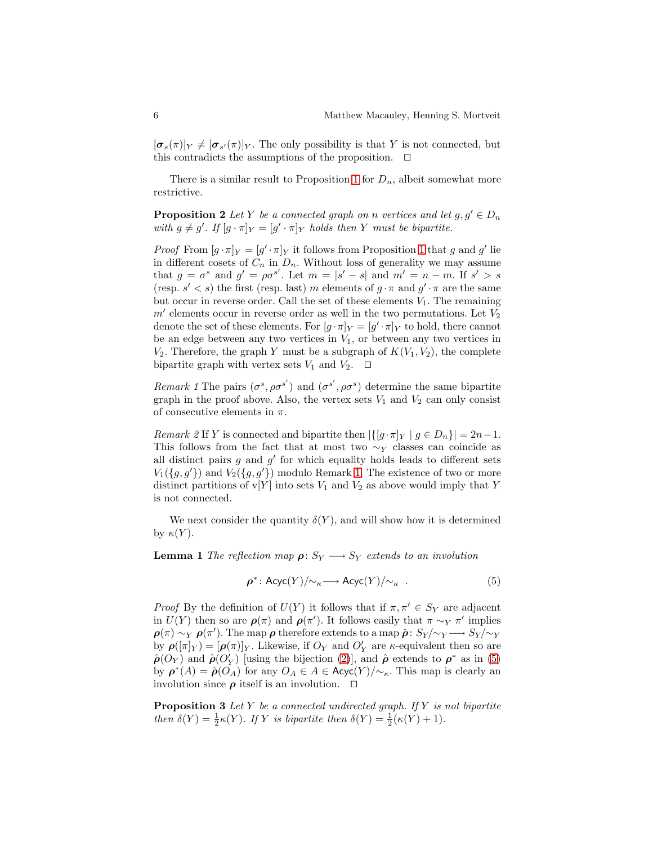$[\sigma_s(\pi)]_Y \neq [\sigma_{s'}(\pi)]_Y$ . The only possibility is that Y is not connected, but this contradicts the assumptions of the proposition. ⊓⊔

<span id="page-6-2"></span>There is a similar result to Proposition [1](#page-5-1) for  $D_n$ , albeit somewhat more restrictive.

**Proposition 2** Let Y be a connected graph on n vertices and let  $g, g' \in D_n$ with  $g \neq g'$ . If  $[g \cdot \pi]_Y = [g' \cdot \pi]_Y$  holds then Y must be bipartite.

*Proof* From  $[g \cdot \pi]_Y = [g' \cdot \pi]_Y$  it follows from Proposition [1](#page-5-1) that g and g' lie in different cosets of  $C_n$  in  $D_n$ . Without loss of generality we may assume that  $g = \sigma^s$  and  $g' = \rho \sigma^{s'}$ . Let  $m = |s' - s|$  and  $m' = n - m$ . If  $s' > s$ (resp.  $s' < s$ ) the first (resp. last) m elements of  $g \cdot \pi$  and  $g' \cdot \pi$  are the same but occur in reverse order. Call the set of these elements  $V_1$ . The remaining  $m'$  elements occur in reverse order as well in the two permutations. Let  $V_2$ denote the set of these elements. For  $[g \cdot \pi]_Y = [g' \cdot \pi]_Y$  to hold, there cannot be an edge between any two vertices in  $V_1$ , or between any two vertices in  $V_2$ . Therefore, the graph Y must be a subgraph of  $K(V_1, V_2)$ , the complete bipartite graph with vertex sets  $V_1$  and  $V_2$ . □

<span id="page-6-0"></span>Remark 1 The pairs  $(\sigma^s, \rho \sigma^{s'})$  and  $(\sigma^{s'}, \rho \sigma^{s})$  determine the same bipartite graph in the proof above. Also, the vertex sets  $V_1$  and  $V_2$  can only consist of consecutive elements in  $\pi$ .

<span id="page-6-4"></span>Remark 2 If Y is connected and bipartite then  $|\{[g \cdot \pi]_Y \mid g \in D_n\}| = 2n-1$ . This follows from the fact that at most two  $\sim_Y$  classes can coincide as all distinct pairs  $g$  and  $g'$  for which equality holds leads to different sets  $V_1({g, g'})$  and  $V_2({g, g'})$  modulo Remark [1.](#page-6-0) The existence of two or more distinct partitions of  $v[Y]$  into sets  $V_1$  and  $V_2$  as above would imply that Y is not connected.

<span id="page-6-3"></span>We next consider the quantity  $\delta(Y)$ , and will show how it is determined by  $\kappa(Y)$ .

**Lemma 1** The reflection map  $\rho: S_Y \longrightarrow S_Y$  extends to an involution

<span id="page-6-1"></span>
$$
\rho^*: \text{Acyc}(Y)/\!\!\sim_{\kappa} \longrightarrow \text{Acyc}(Y)/\!\!\sim_{\kappa} \ . \tag{5}
$$

*Proof* By the definition of  $U(Y)$  it follows that if  $\pi, \pi' \in S_Y$  are adjacent in  $U(Y)$  then so are  $\rho(\pi)$  and  $\rho(\pi')$ . It follows easily that  $\pi \sim_Y \pi'$  implies  $\rho(\pi) \sim_Y \rho(\pi')$ . The map  $\rho$  therefore extends to a map  $\hat{\rho} \colon S_Y/\sim_Y \longrightarrow S_Y/\sim_Y$ by  $\rho([\pi]_Y) = [\rho(\pi)]_Y$ . Likewise, if  $O_Y$  and  $O'_Y$  are  $\kappa$ -equivalent then so are  $\hat{\rho}(O_Y)$  and  $\hat{\rho}(O'_Y)$  [using the bijection [\(2\)](#page-3-1)], and  $\hat{\rho}$  extends to  $\rho^*$  as in [\(5\)](#page-6-1) by  $\rho^*(A) = \hat{\rho}(O_A)$  for any  $O_A \in A \in \text{Acyc}(Y)/\sim_{\kappa}$ . This map is clearly an involution since  $\rho$  itself is an involution.  $\Box$ 

**Proposition 3** Let  $Y$  be a connected undirected graph. If  $Y$  is not bipartite then  $\delta(Y) = \frac{1}{2}\kappa(Y)$ . If Y is bipartite then  $\delta(Y) = \frac{1}{2}(\kappa(Y) + 1)$ .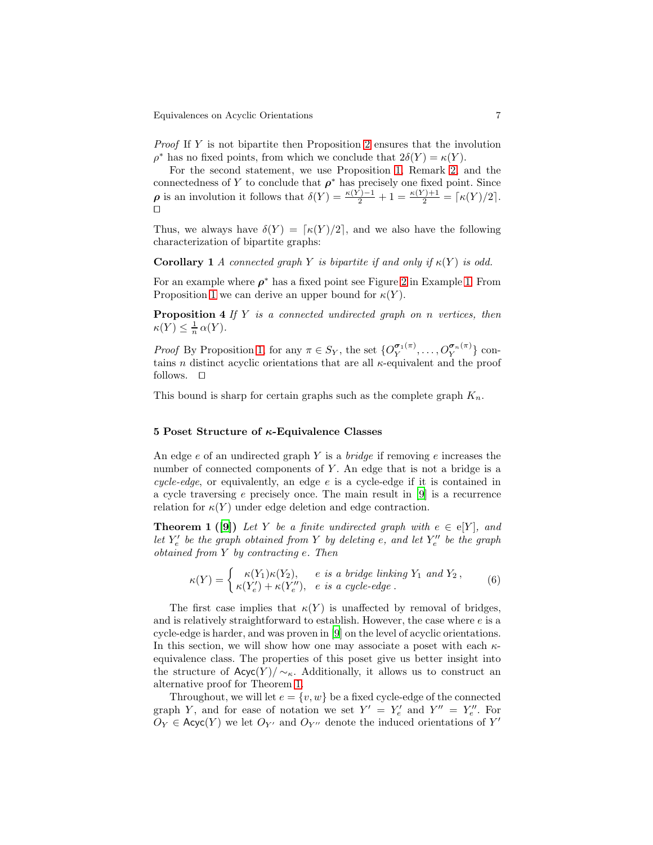Proof If Y is not bipartite then Proposition [2](#page-6-2) ensures that the involution  $\rho^*$  has no fixed points, from which we conclude that  $2\delta(Y) = \kappa(Y)$ .

For the second statement, we use Proposition [1,](#page-6-3) Remark [2,](#page-6-4) and the connectedness of Y to conclude that  $\rho^*$  has precisely one fixed point. Since  $\rho$  is an involution it follows that  $\delta(Y) = \frac{\kappa(Y) - 1}{2} + 1 = \frac{\kappa(Y) + 1}{2} = \lceil \kappa(Y)/2 \rceil$ . ⊓⊔

<span id="page-7-2"></span>Thus, we always have  $\delta(Y) = \lceil \kappa(Y)/2 \rceil$ , and we also have the following characterization of bipartite graphs:

**Corollary 1** A connected graph Y is bipartite if and only if  $\kappa(Y)$  is odd.

<span id="page-7-3"></span>For an example where  $\rho^*$  has a fixed point see Figure [2](#page-4-1) in Example [1.](#page-4-2) From Proposition [1](#page-5-1) we can derive an upper bound for  $\kappa(Y)$ .

**Proposition 4** If  $Y$  is a connected undirected graph on n vertices, then  $\kappa(Y) \leq \frac{1}{n} \alpha(Y).$ 

*Proof* By Proposition [1,](#page-5-1) for any  $\pi \in S_Y$ , the set  $\{O_Y^{\sigma_1(\pi)}, \ldots, O_Y^{\sigma_n(\pi)}\}$  contains *n* distinct acyclic orientations that are all  $\kappa$ -equivalent and the proof follows. ⊓⊔

This bound is sharp for certain graphs such as the complete graph  $K_n$ .

#### <span id="page-7-0"></span>5 Poset Structure of  $\kappa$ -Equivalence Classes

An edge  $e$  of an undirected graph Y is a *bridge* if removing  $e$  increases the number of connected components of  $Y$ . An edge that is not a bridge is a cycle-edge, or equivalently, an edge  $e$  is a cycle-edge if it is contained in a cycle traversing e precisely once. The main result in [\[9](#page-17-0)] is a recurrence relation for  $\kappa(Y)$  under edge deletion and edge contraction.

**Theorem 1 ([\[9\]](#page-17-0))** Let Y be a finite undirected graph with  $e \in e[Y]$ , and let  $Y'_e$  be the graph obtained from Y by deleting e, and let  $Y''_e$  be the graph obtained from Y by contracting e. Then

<span id="page-7-1"></span>
$$
\kappa(Y) = \begin{cases} \kappa(Y_1)\kappa(Y_2), & e \text{ is a bridge linking } Y_1 \text{ and } Y_2, \\ \kappa(Y'_e) + \kappa(Y''_e), & e \text{ is a cycle-edge}. \end{cases}
$$
(6)

The first case implies that  $\kappa(Y)$  is unaffected by removal of bridges, and is relatively straightforward to establish. However, the case where  $e$  is a cycle-edge is harder, and was proven in [\[9\]](#page-17-0) on the level of acyclic orientations. In this section, we will show how one may associate a poset with each  $\kappa$ equivalence class. The properties of this poset give us better insight into the structure of  $Acyc(Y)/\sim_{\kappa}$ . Additionally, it allows us to construct an alternative proof for Theorem [1.](#page-7-1)

Throughout, we will let  $e = \{v, w\}$  be a fixed cycle-edge of the connected graph Y, and for ease of notation we set  $Y' = Y'_e$  and  $Y'' = Y''_e$ . For  $O_Y \in \mathsf{Acyc}(Y)$  we let  $O_{Y'}$  and  $O_{Y''}$  denote the induced orientations of  $Y'$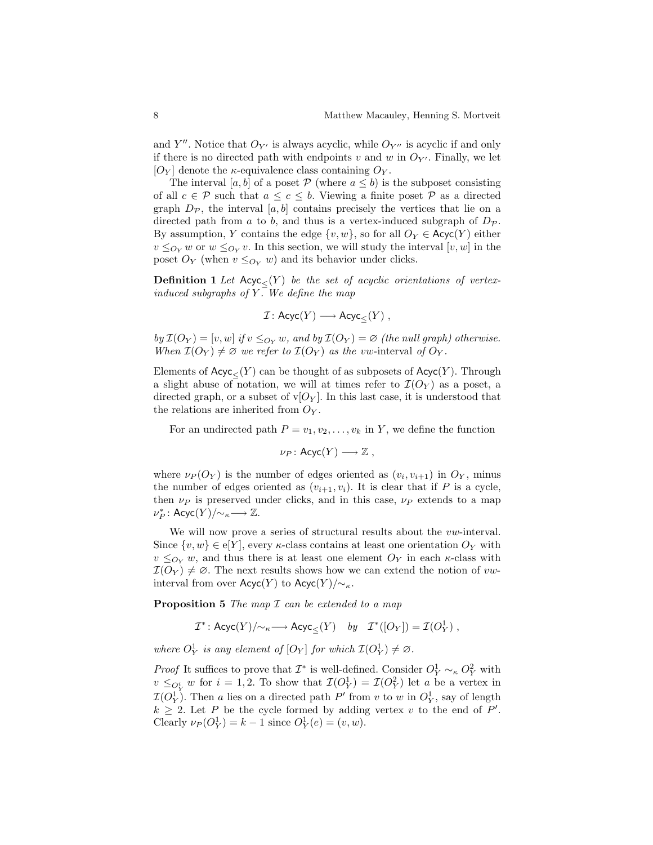and Y''. Notice that  $O_{Y'}$  is always acyclic, while  $O_{Y''}$  is acyclic if and only if there is no directed path with endpoints v and w in  $O_{Y'}$ . Finally, we let  $[O_Y]$  denote the *κ*-equivalence class containing  $O_Y$ .

The interval [a, b] of a poset  $P$  (where  $a \leq b$ ) is the subposet consisting of all  $c \in \mathcal{P}$  such that  $a \leq c \leq b$ . Viewing a finite poset  $\mathcal{P}$  as a directed graph  $D_{\mathcal{P}}$ , the interval [a, b] contains precisely the vertices that lie on a directed path from a to b, and thus is a vertex-induced subgraph of  $D_{\mathcal{P}}$ . By assumption, Y contains the edge  $\{v, w\}$ , so for all  $O_Y \in \text{Acyc}(Y)$  either  $v \leq_{O_Y} w$  or  $w \leq_{O_Y} v$ . In this section, we will study the interval  $[v, w]$  in the poset  $O_Y$  (when  $v \leq O_Y$  w) and its behavior under clicks.

**Definition 1** Let  $Acyc(Y)$  be the set of acyclic orientations of vertexinduced subgraphs of Y. We define the map

$$
\mathcal{I} \colon \mathsf{Acyc}(Y) \longrightarrow \mathsf{Acyc}_{\leq}(Y) \;,
$$

by  $\mathcal{I}(O_Y) = [v, w]$  if  $v \leq_{O_Y} w$ , and by  $\mathcal{I}(O_Y) = \emptyset$  (the null graph) otherwise. When  $\mathcal{I}(O_Y) \neq \emptyset$  we refer to  $\mathcal{I}(O_Y)$  as the vw-interval of  $O_Y$ .

Elements of  $Acyc\langle Y\rangle$  can be thought of as subposets of  $Acyc(Y)$ . Through a slight abuse of notation, we will at times refer to  $\mathcal{I}(O_Y)$  as a poset, a directed graph, or a subset of  $\mathbf{v}[O_Y]$ . In this last case, it is understood that the relations are inherited from  $O_Y$ .

For an undirected path  $P = v_1, v_2, \ldots, v_k$  in Y, we define the function

$$
\nu_P\colon \mathsf{Acyc}(Y)\longrightarrow \mathbb{Z}\ ,
$$

where  $\nu_P(O_Y)$  is the number of edges oriented as  $(v_i, v_{i+1})$  in  $O_Y$ , minus the number of edges oriented as  $(v_{i+1}, v_i)$ . It is clear that if P is a cycle, then  $\nu_P$  is preserved under clicks, and in this case,  $\nu_P$  extends to a map  $\nu_P^* \colon \mathsf{Acyc}(Y)/\!\!\sim_{\kappa} \longrightarrow \mathbb{Z}.$ 

We will now prove a series of structural results about the *vw*-interval. Since  $\{v, w\} \in \mathcal{e}[Y]$ , every *κ*-class contains at least one orientation  $O_Y$  with  $v \leq_{O_Y} w$ , and thus there is at least one element  $O_Y$  in each  $\kappa$ -class with  $\mathcal{I}(O_Y) \neq \emptyset$ . The next results shows how we can extend the notion of vwinterval from over  $Acyc(Y)$  to  $Acyc(Y)/{\sim_{\kappa}}$ .

<span id="page-8-0"></span>**Proposition 5** The map  $\mathcal I$  can be extended to a map

 $\mathcal{I}^* \colon \mathsf{Acyc}(Y)/\!\!\sim_{\kappa} \longrightarrow \mathsf{Acyc}_{\leq}(Y) \quad by \quad \mathcal{I}^*([O_Y]) = \mathcal{I}(O_Y^1) \;,$ 

where  $O_Y^1$  is any element of  $[O_Y]$  for which  $\mathcal{I}(O_Y^1) \neq \emptyset$ .

*Proof* It suffices to prove that  $\mathcal{I}^*$  is well-defined. Consider  $O_Y^1 \sim_{\kappa} O_Y^2$  with  $v \leq_{O_Y^i} w$  for  $i = 1, 2$ . To show that  $\mathcal{I}(O_Y^1) = \mathcal{I}(O_Y^2)$  let a be a vertex in  $\mathcal{I}(O_Y^1)$ . Then a lies on a directed path  $P'$  from v to w in  $O_Y^1$ , say of length  $k \geq 2$ . Let P be the cycle formed by adding vertex v to the end of P'. Clearly  $\nu_P(O_Y^1) = k - 1$  since  $O_Y^1(e) = (v, w)$ .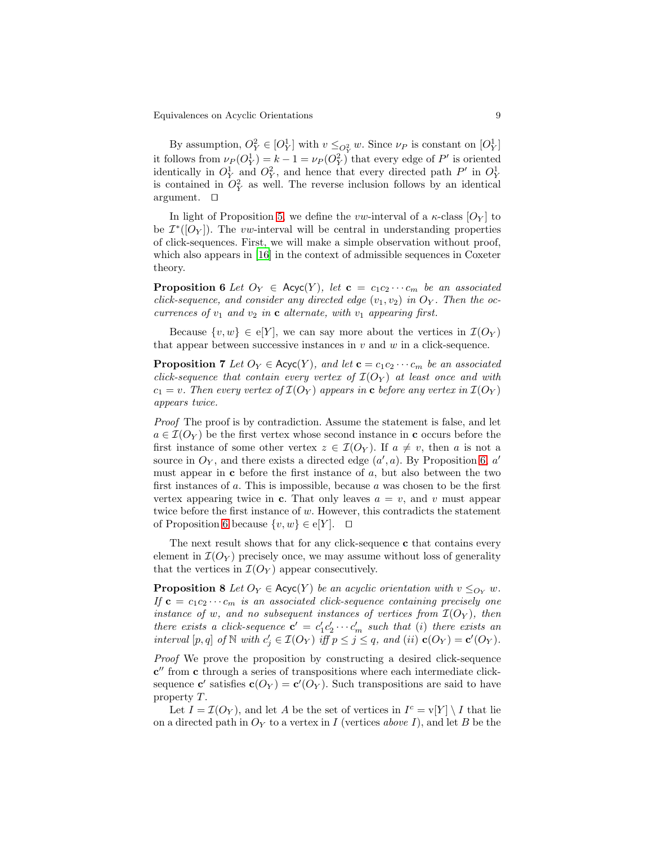By assumption,  $O_Y^2 \in [O_Y^1]$  with  $v \leq_{O_Y^2} w$ . Since  $\nu_P$  is constant on  $[O_Y^1]$ it follows from  $\nu_P(O_Y^1) = k - 1 = \nu_P(O_Y^2)$  that every edge of P' is oriented identically in  $O_Y^1$  and  $O_Y^2$ , and hence that every directed path  $P'$  in  $O_Y^1$ is contained in  $O_Y^2$  as well. The reverse inclusion follows by an identical argument. ⊓⊔

In light of Proposition [5,](#page-8-0) we define the vw-interval of a  $\kappa$ -class  $[O_Y]$  to be  $\mathcal{I}^*([O_Y])$ . The vw-interval will be central in understanding properties of click-sequences. First, we will make a simple observation without proof, which also appears in [\[16](#page-17-4)] in the context of admissible sequences in Coxeter theory.

<span id="page-9-0"></span>**Proposition 6** Let  $O_Y \in \text{Acyc}(Y)$ , let  $\mathbf{c} = c_1 c_2 \cdots c_m$  be an associated click-sequence, and consider any directed edge  $(v_1, v_2)$  in  $O_Y$ . Then the occurrences of  $v_1$  and  $v_2$  in c alternate, with  $v_1$  appearing first.

Because  $\{v, w\} \in \mathcal{E}[Y]$ , we can say more about the vertices in  $\mathcal{I}(O_Y)$ that appear between successive instances in  $v$  and  $w$  in a click-sequence.

**Proposition 7** Let  $O_Y \in \text{Acyc}(Y)$ , and let  $\mathbf{c} = c_1 c_2 \cdots c_m$  be an associated click-sequence that contain every vertex of  $\mathcal{I}(O_Y)$  at least once and with  $c_1 = v$ . Then every vertex of  $\mathcal{I}(O_Y)$  appears in c before any vertex in  $\mathcal{I}(O_Y)$ appears twice.

Proof The proof is by contradiction. Assume the statement is false, and let  $a \in \mathcal{I}(O_Y)$  be the first vertex whose second instance in c occurs before the first instance of some other vertex  $z \in \mathcal{I}(O_Y)$ . If  $a \neq v$ , then a is not a source in  $O_Y$ , and there exists a directed edge  $(a', a)$ . By Proposition [6,](#page-9-0) a' must appear in  $\bf{c}$  before the first instance of a, but also between the two first instances of  $a$ . This is impossible, because  $a$  was chosen to be the first vertex appearing twice in c. That only leaves  $a = v$ , and v must appear twice before the first instance of w. However, this contradicts the statement of Proposition [6](#page-9-0) because  $\{v, w\} \in \mathcal{e}[Y]$ . □

The next result shows that for any click-sequence **c** that contains every element in  $\mathcal{I}(O_Y)$  precisely once, we may assume without loss of generality that the vertices in  $\mathcal{I}(O_Y)$  appear consecutively.

<span id="page-9-1"></span>**Proposition 8** Let  $O_Y \in \text{Acyc}(Y)$  be an acyclic orientation with  $v \leq_{O_Y} w$ . If  $c = c_1c_2 \cdots c_m$  is an associated click-sequence containing precisely one instance of w, and no subsequent instances of vertices from  $\mathcal{I}(O_Y)$ , then there exists a click-sequence  $\mathbf{c}' = c_1' c_2' \cdots c_m'$  such that (i) there exists an interval  $[p, q]$  of  $N$  with  $c'_j \in \mathcal{I}(O_Y)$  iff  $p \leq j \leq q$ , and (ii)  $\mathbf{c}(O_Y) = \mathbf{c}'(O_Y)$ .

Proof We prove the proposition by constructing a desired click-sequence c ′′ from c through a series of transpositions where each intermediate clicksequence **c'** satisfies **c**( $O_Y$ ) = **c'**( $O_Y$ ). Such transpositions are said to have property  $T$ .

Let  $I = \mathcal{I}(O_Y)$ , and let A be the set of vertices in  $I^c = \mathbf{v}[Y] \setminus I$  that lie on a directed path in  $O<sub>Y</sub>$  to a vertex in I (vertices above I), and let B be the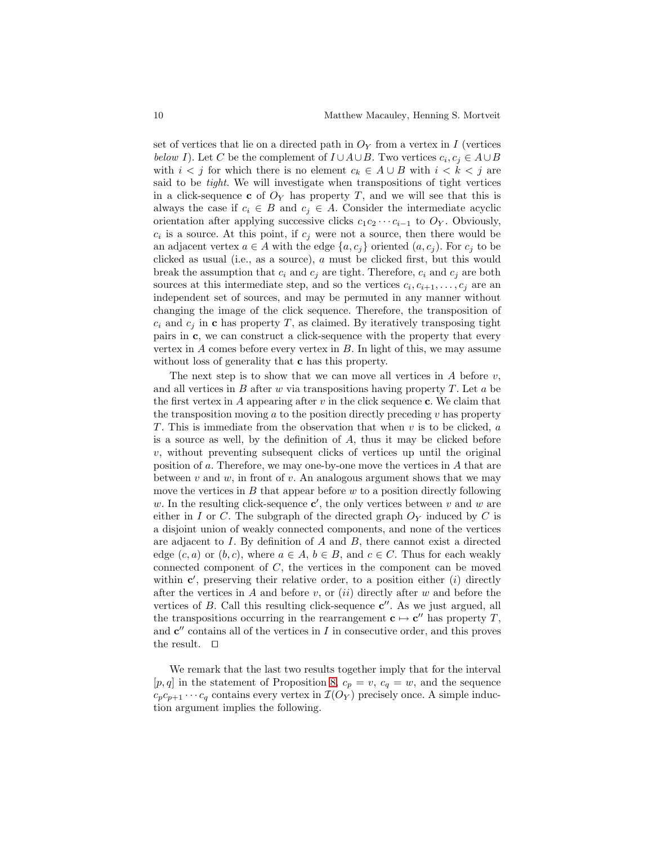set of vertices that lie on a directed path in  $\mathcal{O}_Y$  from a vertex in I (vertices below I). Let C be the complement of  $I \cup A \cup B$ . Two vertices  $c_i, c_j \in A \cup B$ with  $i < j$  for which there is no element  $c_k \in A \cup B$  with  $i < k < j$  are said to be tight. We will investigate when transpositions of tight vertices in a click-sequence c of  $O<sub>Y</sub>$  has property T, and we will see that this is always the case if  $c_i \in B$  and  $c_j \in A$ . Consider the intermediate acyclic orientation after applying successive clicks  $c_1c_2 \cdots c_{i-1}$  to  $O_Y$ . Obviously,  $c_i$  is a source. At this point, if  $c_j$  were not a source, then there would be an adjacent vertex  $a \in A$  with the edge  $\{a, c_i\}$  oriented  $(a, c_i)$ . For  $c_i$  to be clicked as usual (i.e., as a source), a must be clicked first, but this would break the assumption that  $c_i$  and  $c_j$  are tight. Therefore,  $c_i$  and  $c_j$  are both sources at this intermediate step, and so the vertices  $c_i, c_{i+1}, \ldots, c_j$  are an independent set of sources, and may be permuted in any manner without changing the image of the click sequence. Therefore, the transposition of  $c_i$  and  $c_j$  in c has property T, as claimed. By iteratively transposing tight pairs in c, we can construct a click-sequence with the property that every vertex in  $A$  comes before every vertex in  $B$ . In light of this, we may assume without loss of generality that **c** has this property.

The next step is to show that we can move all vertices in  $A$  before  $v$ , and all vertices in B after  $w$  via transpositions having property  $T$ . Let  $a$  be the first vertex in A appearing after  $v$  in the click sequence c. We claim that the transposition moving  $a$  to the position directly preceding  $v$  has property T. This is immediate from the observation that when  $v$  is to be clicked,  $a$ is a source as well, by the definition of A, thus it may be clicked before  $v$ , without preventing subsequent clicks of vertices up until the original position of  $a$ . Therefore, we may one-by-one move the vertices in  $A$  that are between v and w, in front of v. An analogous argument shows that we may move the vertices in  $B$  that appear before  $w$  to a position directly following w. In the resulting click-sequence  $\mathbf{c}'$ , the only vertices between v and w are either in  $I$  or  $C$ . The subgraph of the directed graph  $O<sub>Y</sub>$  induced by  $C$  is a disjoint union of weakly connected components, and none of the vertices are adjacent to I. By definition of A and B, there cannot exist a directed edge  $(c, a)$  or  $(b, c)$ , where  $a \in A$ ,  $b \in B$ , and  $c \in C$ . Thus for each weakly connected component of C, the vertices in the component can be moved within  $c'$ , preserving their relative order, to a position either  $(i)$  directly after the vertices in  $A$  and before  $v$ , or  $(ii)$  directly after  $w$  and before the vertices of  $B$ . Call this resulting click-sequence  $c''$ . As we just argued, all the transpositions occurring in the rearrangement  $\mathbf{c} \mapsto \mathbf{c}''$  has property T, and  $c''$  contains all of the vertices in  $I$  in consecutive order, and this proves the result. ⊓⊔

We remark that the last two results together imply that for the interval [p, q] in the statement of Proposition [8,](#page-9-1)  $c_p = v$ ,  $c_q = w$ , and the sequence  $c_p c_{p+1} \cdots c_q$  contains every vertex in  $\mathcal{I}(O_Y)$  precisely once. A simple induction argument implies the following.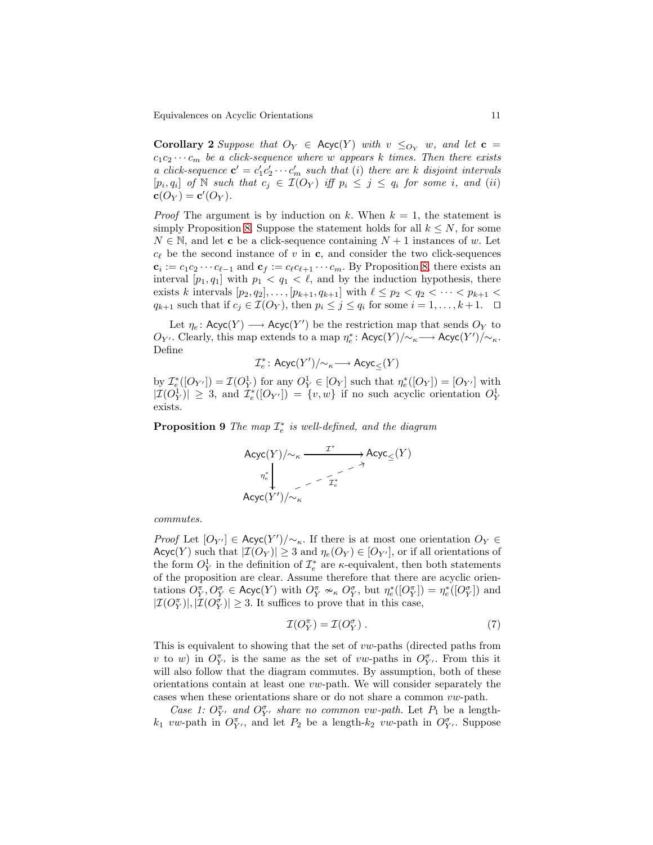**Corollary 2** Suppose that  $O_Y \in \text{Acyc}(Y)$  with  $v \leq_{O_Y} w$ , and let  $\mathbf{c} =$  $c_1c_2 \cdots c_m$  be a click-sequence where w appears k times. Then there exists a click-sequence  $\mathbf{c}' = c_1' c_2' \cdots c_m'$  such that (i) there are k disjoint intervals  $[p_i, q_i]$  of  $\mathbb N$  such that  $c_j \in \mathcal{I}(O_Y)$  iff  $p_i \leq j \leq q_i$  for some i, and (ii)  $\mathbf{c}(O_Y) = \mathbf{c}'(O_Y).$ 

*Proof* The argument is by induction on k. When  $k = 1$ , the statement is simply Proposition [8.](#page-9-1) Suppose the statement holds for all  $k \leq N$ , for some  $N \in \mathbb{N}$ , and let **c** be a click-sequence containing  $N + 1$  instances of w. Let  $c_{\ell}$  be the second instance of v in c, and consider the two click-sequences  $\mathbf{c}_i := c_1 c_2 \cdots c_{\ell-1}$  and  $\mathbf{c}_f := c_{\ell} c_{\ell+1} \cdots c_m$ . By Proposition [8,](#page-9-1) there exists an interval  $[p_1, q_1]$  with  $p_1 < q_1 < \ell$ , and by the induction hypothesis, there exists k intervals  $[p_2, q_2], \ldots, [p_{k+1}, q_{k+1}]$  with  $\ell \leq p_2 < q_2 < \cdots < p_{k+1} <$  $q_{k+1}$  such that if  $c_j \in \mathcal{I}(O_Y)$ , then  $p_i \leq j \leq q_i$  for some  $i = 1, \ldots, k+1$ . □

Let  $\eta_e$ : Acyc $(Y) \longrightarrow$  Acyc $(Y')$  be the restriction map that sends  $O_Y$  to  $O_{Y'}$ . Clearly, this map extends to a map  $η_e^*$ : Acyc(Y)/∼<sub>κ</sub> → Acyc(Y')/∼<sub>κ</sub>. Define

$$
\mathcal{I}_e^*\colon \mathsf{Acyc}(Y')/\!\!\!\sim_\kappa\longrightarrow \mathsf{Acyc}_\le(Y)
$$

by  $\mathcal{I}_{e}^{*}([O_{Y'}]) = \mathcal{I}(O_Y^1)$  for any  $O_Y^1 \in [O_Y]$  such that  $\eta_{e}^{*}([O_Y]) = [O_{Y'}]$  with  $|\mathcal{I}(O_Y^1)| \geq 3$ , and  $\mathcal{I}_e^*([O_{Y'}]) = \{v,w\}$  if no such acyclic orientation  $O_Y^1$ exists.

<span id="page-11-1"></span>**Proposition 9** The map  $\mathcal{I}_e^*$  is well-defined, and the diagram

$$
\begin{CD} \mathsf{Acyc}(Y)/{\sim_\kappa} \xrightarrow{\mathcal{I}^*} \mathsf{Acyc}_{\leq}(Y) \\ \eta_e^* & \xrightarrow{\quad \ \ \gamma} \\ \mathsf{Acyc}(Y')/{\sim_\kappa} \end{CD}
$$

commutes.

*Proof* Let  $[O_{Y'}] \in \text{Acyc}(Y')/\sim_{\kappa}$ . If there is at most one orientation  $O_Y \in$  $Acyc(Y)$  such that  $|\mathcal{I}(O_Y)| \geq 3$  and  $\eta_e(O_Y) \in [O_{Y'}],$  or if all orientations of the form  $O_Y^1$  in the definition of  $\mathcal{I}_e^*$  are  $\kappa$ -equivalent, then both statements of the proposition are clear. Assume therefore that there are acyclic orientations  $O_Y^{\pi}, O_Y^{\sigma} \in \mathsf{Acyc}(Y)$  with  $O_Y^{\pi} \nsim_{\kappa} O_Y^{\sigma}$ , but  $\eta_e^*([O_Y^{\pi}]) = \eta_e^*([O_Y^{\sigma}])$  and  $|\mathcal{I}(O_Y^{\pi})|, |\mathcal{I}(O_Y^{\sigma})| \geq 3.$  It suffices to prove that in this case,

<span id="page-11-0"></span>
$$
\mathcal{I}(O_Y^{\pi}) = \mathcal{I}(O_Y^{\sigma}). \tag{7}
$$

This is equivalent to showing that the set of vw-paths (directed paths from v to w) in  $O_{Y'}^{\pi}$  is the same as the set of vw-paths in  $O_{Y'}^{\sigma}$ . From this it will also follow that the diagram commutes. By assumption, both of these orientations contain at least one  $vw$ -path. We will consider separately the cases when these orientations share or do not share a common vw-path.

Case 1:  $O_{Y'}^{\pi}$  and  $O_{Y'}^{\sigma}$  share no common vw-path. Let  $P_1$  be a length $k_1$  vw-path in  $O_{Y'}^{\pi}$ , and let  $P_2$  be a length- $k_2$  vw-path in  $O_{Y'}^{\sigma}$ . Suppose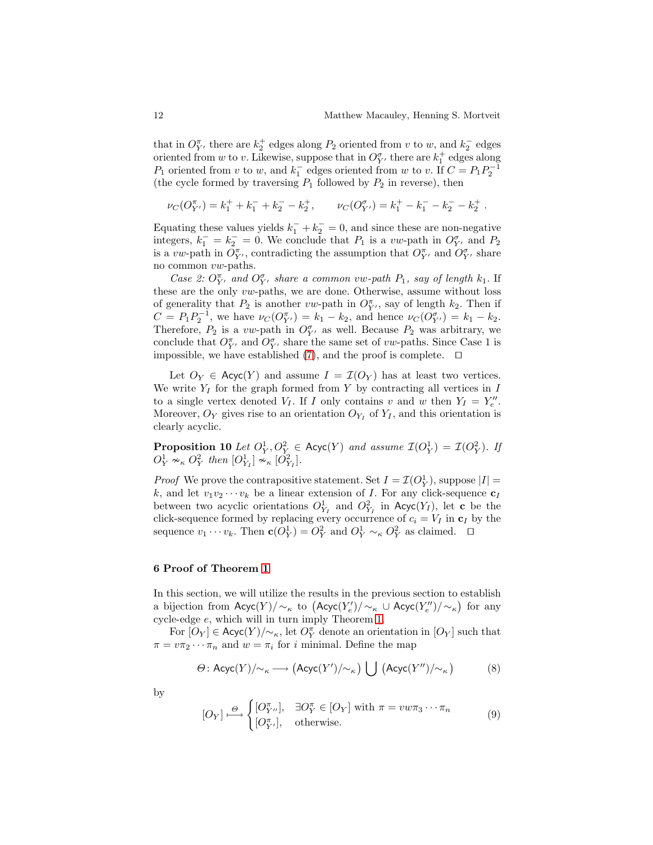that in  $O_{Y}^{\pi}$ , there are  $k_2^+$  edges along  $P_2$  oriented from v to w, and  $k_2^-$  edges oriented from  $w$  to  $v$ . Likewise, suppose that in  $O_{Y'}^{\sigma}$  there are  $k_1^+$  edges along  $P_1$  oriented from v to w, and  $k_1^-$  edges oriented from w to v. If  $C = P_1 P_2^{-1}$ (the cycle formed by traversing  $P_1$  followed by  $P_2$  in reverse), then

$$
\nu_C(O_{Y'}^{\pi}) = k_1^+ + k_1^- + k_2^- - k_2^+, \qquad \nu_C(O_{Y'}^{\sigma}) = k_1^+ - k_1^- - k_2^- - k_2^+.
$$

Equating these values yields  $k_1^- + k_2^- = 0$ , and since these are non-negative integers,  $k_1^- = k_2^- = 0$ . We conclude that  $P_1$  is a vw-path in  $O_{Y'}^{\sigma}$  and  $P_2$ is a vw-path in  $O_{Y'}^{\pi}$ , contradicting the assumption that  $O_{Y'}^{\pi}$  and  $O_{Y'}^{\sigma}$  share no common vw-paths.

Case 2:  $O_{Y'}^{\pi}$  and  $O_{Y'}^{\sigma}$  share a common vw-path  $P_1$ , say of length  $k_1$ . If these are the only vw-paths, we are done. Otherwise, assume without loss of generality that  $P_2$  is another vw-path in  $O_{Y'}^{\pi}$ , say of length  $k_2$ . Then if  $C = P_1 P_2^{-1}$ , we have  $\nu_C(O_{Y'}^{\pi}) = k_1 - k_2$ , and hence  $\nu_C(O_{Y'}^{\sigma}) = k_1 - k_2$ . Therefore,  $P_2$  is a vw-path in  $O_{Y'}^{\sigma}$  as well. Because  $P_2$  was arbitrary, we conclude that  $O_{Y'}^{\pi}$ , and  $O_{Y'}^{\sigma}$  share the same set of *vw*-paths. Since Case 1 is impossible, we have established [\(7\)](#page-11-0), and the proof is complete. ⊓⊔

Let  $O_Y \in \text{Acyc}(Y)$  and assume  $I = \mathcal{I}(O_Y)$  has at least two vertices. We write  $Y_I$  for the graph formed from Y by contracting all vertices in I to a single vertex denoted  $V_I$ . If I only contains v and w then  $Y_I = Y''_e$ . Moreover,  $O_Y$  gives rise to an orientation  $O_{Y_I}$  of  $Y_I$ , and this orientation is clearly acyclic.

<span id="page-12-0"></span>**Proposition 10** Let  $O_Y^1, O_Y^2 \in \text{Acyc}(Y)$  and assume  $\mathcal{I}(O_Y^1) = \mathcal{I}(O_Y^2)$ . If  $O_Y^1 \nsim \nolimits_{\kappa} O_Y^2$  then  $[O_{Y_I}^1] \nsim \nolimits_{\kappa} [O_{Y_I}^2]$ .

*Proof* We prove the contrapositive statement. Set  $I = \mathcal{I}(O_Y^1)$ , suppose  $|I|$  = k, and let  $v_1v_2\cdots v_k$  be a linear extension of I. For any click-sequence  $c_I$ between two acyclic orientations  $O_{Y_I}^1$  and  $O_{Y_I}^2$  in Acyc $(Y_I)$ , let c be the click-sequence formed by replacing every occurrence of  $c_i = V_I$  in  $c_I$  by the sequence  $v_1 \cdots v_k$ . Then  $\mathbf{c}(O_Y^1) = O_Y^2$  and  $O_Y^1 \sim_{\kappa} O_Y^2$  as claimed.  $\Box$ 

#### 6 Proof of Theorem [1](#page-7-1)

In this section, we will utilize the results in the previous section to establish a bijection from  $\text{Acyc}(Y)/\sim_\kappa$  to  $(\text{Acyc}(Y'_e)/\sim_\kappa \cup \text{Acyc}(Y''_e)/\sim_\kappa$ ) for any cycle-edge e, which will in turn imply Theorem [1.](#page-7-1)

For  $[O_Y] \in \mathsf{Acyc}(Y)/\!\!\sim_{\kappa}$ , let  $O_Y^{\pi}$  denote an orientation in  $[O_Y]$  such that  $\pi = v\pi_2 \cdots \pi_n$  and  $w = \pi_i$  for *i* minimal. Define the map

$$
\Theta: \text{Acyc}(Y)/\!\!\sim_{\kappa} \longrightarrow (\text{Acyc}(Y')/\!\!\sim_{\kappa}) \bigcup (\text{Acyc}(Y'')/\!\!\sim_{\kappa})
$$
 (8)

by

$$
[O_Y] \stackrel{\Theta}{\longmapsto} \begin{cases} [O_{Y''}^{\pi}], & \exists O_Y^{\pi} \in [O_Y] \text{ with } \pi = v w \pi_3 \cdots \pi_n \\ [O_{Y'}^{\pi}], & \text{otherwise.} \end{cases} \tag{9}
$$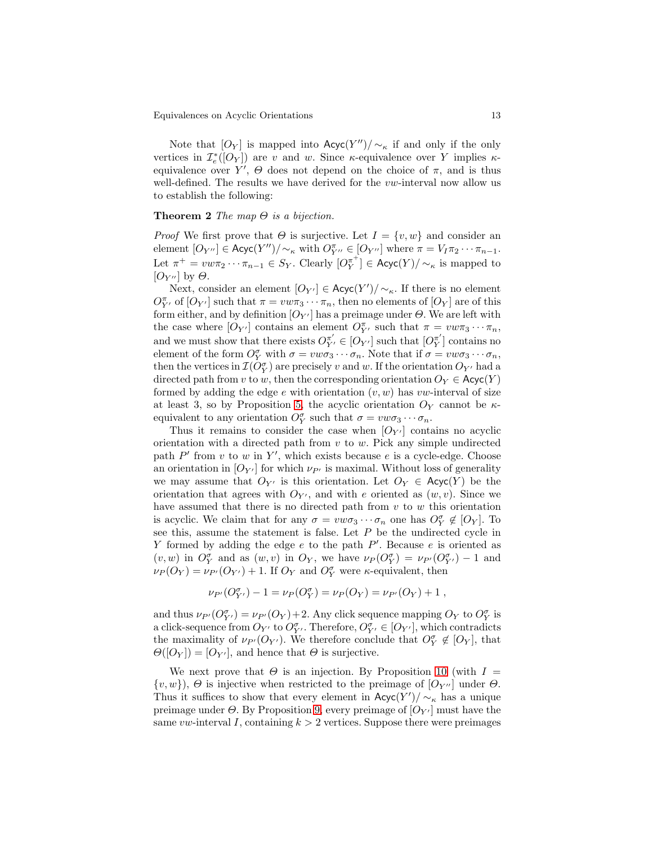Note that  $[O_Y]$  is mapped into  $\mathsf{Acyc}(Y'') / \sim_{\kappa}$  if and only if the only vertices in  $\mathcal{I}_e^*([O_Y])$  are v and w. Since  $\kappa$ -equivalence over Y implies  $\kappa$ equivalence over Y',  $\Theta$  does not depend on the choice of  $\pi$ , and is thus well-defined. The results we have derived for the  $vw$ -interval now allow us to establish the following:

#### <span id="page-13-0"></span>**Theorem 2** The map  $\Theta$  is a bijection.

*Proof* We first prove that  $\Theta$  is surjective. Let  $I = \{v, w\}$  and consider an element  $[O_{Y''}] \in \text{Acyc}(Y'') / \sim_{\kappa}$  with  $O_{Y''}^{\pi} \in [O_{Y''}]$  where  $\pi = V_I \pi_2 \cdots \pi_{n-1}$ . Let  $\pi^+ = v w \pi_2 \cdots \pi_{n-1} \in S_Y$ . Clearly  $[O_Y^{\pi^+}] \in \text{Acyc}(Y)/\sim_{\kappa}$  is mapped to  $[O_{Y''}]$  by  $\Theta$ .

Next, consider an element  $[O_{Y'}] \in \text{Acyc}(Y') / \sim_{\kappa}$ . If there is no element  $O_{Y'}^{\pi}$  of  $[O_{Y'}]$  such that  $\pi = v w \pi_3 \cdots \pi_n$ , then no elements of  $[O_Y]$  are of this form either, and by definition  $[O_{Y'}]$  has a preimage under  $\Theta$ . We are left with the case where  $[O_{Y'}]$  contains an element  $O_{Y'}^{\pi}$ , such that  $\pi = v w \pi_3 \cdots \pi_n$ , and we must show that there exists  $O_{Y'}^{\pi'} \in [O_{Y'}]$  such that  $[O_{Y}^{\pi'}]$  $_{Y}^{\pi}$ ] contains no element of the form  $O_Y^{\sigma}$  with  $\sigma = v w \sigma_3 \cdots \sigma_n$ . Note that if  $\sigma = v w \sigma_3 \cdots \sigma_n$ , then the vertices in  $\mathcal{I}(O_Y^{\sigma})$  are precisely v and w. If the orientation  $O_{Y'}$  had a directed path from v to w, then the corresponding orientation  $O_Y \in \mathsf{Acyc}(Y)$ formed by adding the edge  $e$  with orientation  $(v, w)$  has vw-interval of size at least 3, so by Proposition [5,](#page-8-0) the acyclic orientation  $O_Y$  cannot be  $\kappa$ equivalent to any orientation  $O_Y^{\sigma}$  such that  $\sigma = v w \sigma_3 \cdots \sigma_n$ .

Thus it remains to consider the case when  $[O_{Y'}]$  contains no acyclic orientation with a directed path from  $v$  to  $w$ . Pick any simple undirected path  $P'$  from v to w in Y', which exists because e is a cycle-edge. Choose an orientation in  $[O_{Y'}]$  for which  $\nu_{P'}$  is maximal. Without loss of generality we may assume that  $O_{Y'}$  is this orientation. Let  $O_Y \in \text{Acyc}(Y)$  be the orientation that agrees with  $O_{Y'}$ , and with e oriented as  $(w, v)$ . Since we have assumed that there is no directed path from  $v$  to  $w$  this orientation is acyclic. We claim that for any  $\sigma = v w \sigma_3 \cdots \sigma_n$  one has  $O_Y^{\sigma} \notin [O_Y]$ . To see this, assume the statement is false. Let  $P$  be the undirected cycle in Y formed by adding the edge  $e$  to the path  $P'$ . Because  $e$  is oriented as  $(v, w)$  in  $O_Y^{\sigma}$  and as  $(w, v)$  in  $O_Y$ , we have  $\nu_P(O_Y^{\sigma}) = \nu_{P'}(O_{Y'}^{\sigma}) - 1$  and  $\nu_P(O_Y) = \nu_{P'}(O_{Y'}) + 1$ . If  $O_Y$  and  $O_Y^{\sigma}$  were  $\kappa$ -equivalent, then

$$
\nu_{P'}(O_{Y'}^{\sigma}) - 1 = \nu_P(O_Y^{\sigma}) = \nu_P(O_Y) = \nu_{P'}(O_Y) + 1,
$$

and thus  $\nu_{P'}(O_{Y'}^{\sigma}) = \nu_{P'}(O_Y) + 2$ . Any click sequence mapping  $O_Y$  to  $O_Y^{\sigma}$  is a click-sequence from  $O_{Y'}$  to  $O_{Y'}^{\sigma}$ . Therefore,  $O_{Y'}^{\sigma} \in [O_{Y'}]$ , which contradicts the maximality of  $\nu_{P'}(O_{Y'})$ . We therefore conclude that  $O_Y^{\sigma} \notin [O_Y]$ , that  $\Theta(|O_Y|) = |O_{Y'}|$ , and hence that  $\Theta$  is surjective.

We next prove that  $\Theta$  is an injection. By Proposition [10](#page-12-0) (with  $I =$  $\{v, w\}$ ),  $\Theta$  is injective when restricted to the preimage of  $[O_{Y''}]$  under  $\Theta$ . Thus it suffices to show that every element in  $Acyc(Y') / \sim_{\kappa}$  has a unique preimage under  $\Theta$ . By Proposition [9,](#page-11-1) every preimage of  $[O_{Y'}]$  must have the same vw-interval I, containing  $k > 2$  vertices. Suppose there were preimages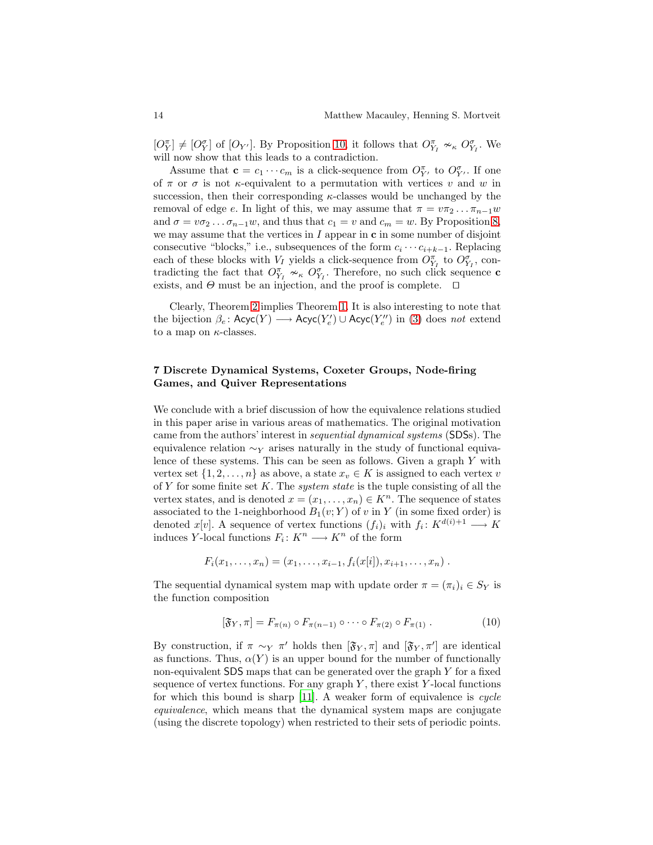$[O_Y^{\pi}] \neq [O_Y^{\sigma}]$  of  $[O_{Y'}]$ . By Proposition [10,](#page-12-0) it follows that  $O_{Y_I}^{\pi} \nsim_{\kappa} O_{Y_I}^{\sigma}$ . We will now show that this leads to a contradiction.

Assume that  $\mathbf{c} = c_1 \cdots c_m$  is a click-sequence from  $O_{Y'}^{\pi}$  to  $O_{Y'}^{\sigma}$ . If one of  $\pi$  or  $\sigma$  is not  $\kappa$ -equivalent to a permutation with vertices v and w in succession, then their corresponding  $\kappa$ -classes would be unchanged by the removal of edge e. In light of this, we may assume that  $\pi = v\pi_2 \dots \pi_{n-1}w$ and  $\sigma = v\sigma_2 \dots \sigma_{n-1}w$ , and thus that  $c_1 = v$  and  $c_m = w$ . By Proposition [8,](#page-9-1) we may assume that the vertices in  $I$  appear in  $\mathbf c$  in some number of disjoint consecutive "blocks," i.e., subsequences of the form  $c_i \cdots c_{i+k-1}$ . Replacing each of these blocks with  $V_I$  yields a click-sequence from  $O_{Y_I}^{\pi}$  to  $O_{Y_I}^{\sigma}$ , contradicting the fact that  $O_{Y_I}^{\pi} \nsim_{\kappa} O_{Y_I}^{\sigma}$ . Therefore, no such click sequence c exists, and  $\Theta$  must be an injection, and the proof is complete.  $\Box$ 

Clearly, Theorem [2](#page-13-0) implies Theorem [1.](#page-7-1) It is also interesting to note that the bijection  $\beta_e$ : Acyc $(Y) \longrightarrow$  Acyc $(Y'_e) \cup$  Acyc $(Y''_e)$  in [\(3\)](#page-3-2) does not extend to a map on  $\kappa$ -classes.

### 7 Discrete Dynamical Systems, Coxeter Groups, Node-firing Games, and Quiver Representations

We conclude with a brief discussion of how the equivalence relations studied in this paper arise in various areas of mathematics. The original motivation came from the authors' interest in sequential dynamical systems (SDSs). The equivalence relation  $\sim_Y$  arises naturally in the study of functional equivalence of these systems. This can be seen as follows. Given a graph Y with vertex set  $\{1, 2, \ldots, n\}$  as above, a state  $x_v \in K$  is assigned to each vertex v of Y for some finite set K. The *system state* is the tuple consisting of all the vertex states, and is denoted  $x = (x_1, \ldots, x_n) \in K^n$ . The sequence of states associated to the 1-neighborhood  $B_1(v; Y)$  of v in Y (in some fixed order) is denoted  $x[v]$ . A sequence of vertex functions  $(f_i)_i$  with  $f_i: K^{d(i)+1} \longrightarrow K$ induces Y-local functions  $F_i: K^n \longrightarrow K^n$  of the form

$$
F_i(x_1,\ldots,x_n)=(x_1,\ldots,x_{i-1},f_i(x[i]),x_{i+1},\ldots,x_n).
$$

The sequential dynamical system map with update order  $\pi = (\pi_i)_i \in S_Y$  is the function composition

$$
[\mathfrak{F}_Y, \pi] = F_{\pi(n)} \circ F_{\pi(n-1)} \circ \cdots \circ F_{\pi(2)} \circ F_{\pi(1)} . \tag{10}
$$

By construction, if  $\pi \sim_Y \pi'$  holds then  $[\mathfrak{F}_Y, \pi]$  and  $[\mathfrak{F}_Y, \pi']$  are identical as functions. Thus,  $\alpha(Y)$  is an upper bound for the number of functionally non-equivalent  $SDS$  maps that can be generated over the graph Y for a fixed sequence of vertex functions. For any graph  $Y$ , there exist  $Y$ -local functions for which this bound is sharp  $[11]$ . A weaker form of equivalence is cycle equivalence, which means that the dynamical system maps are conjugate (using the discrete topology) when restricted to their sets of periodic points.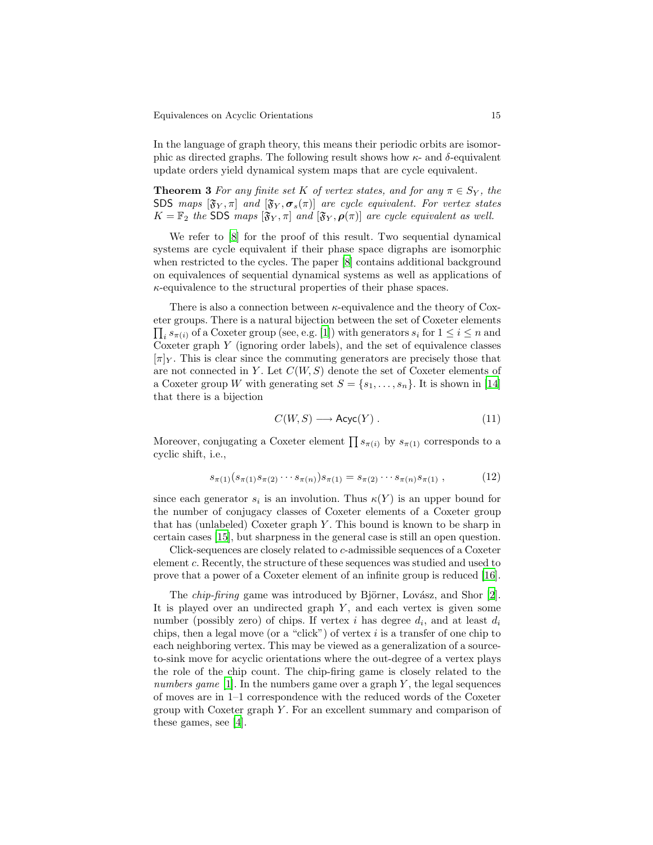In the language of graph theory, this means their periodic orbits are isomorphic as directed graphs. The following result shows how  $κ$ - and  $δ$ -equivalent update orders yield dynamical system maps that are cycle equivalent.

**Theorem 3** For any finite set K of vertex states, and for any  $\pi \in S_Y$ , the SDS maps  $[\mathfrak{F}_Y, \pi]$  and  $[\mathfrak{F}_Y, \sigma_s(\pi)]$  are cycle equivalent. For vertex states  $K = \mathbb{F}_2$  the SDS maps  $[\mathfrak{F}_Y, \pi]$  and  $[\mathfrak{F}_Y, \boldsymbol{\rho}(\pi)]$  are cycle equivalent as well.

We refer to [\[8\]](#page-17-6) for the proof of this result. Two sequential dynamical systems are cycle equivalent if their phase space digraphs are isomorphic when restricted to the cycles. The paper [\[8](#page-17-6)] contains additional background on equivalences of sequential dynamical systems as well as applications of  $\kappa$ -equivalence to the structural properties of their phase spaces.

There is also a connection between  $\kappa$ -equivalence and the theory of Coxeter groups. There is a natural bijection between the set of C oxeter elements  $\prod_i s_{\pi(i)}$  of a Coxeter group (see, e.g. [\[1\]](#page-16-0)) with generators  $s_i$  for  $1 \leq i \leq n$  and Coxeter graph  $Y$  (ignoring order labels), and the set of equivalence classes  $[\pi]_Y$ . This is clear since the commuting generators are precisely those that are not connected in Y. Let  $C(W, S)$  denote the set of Coxeter elements of a Coxeter group W with generating set  $S = \{s_1, \ldots, s_n\}$ . It is shown in [\[14](#page-17-7)] that there is a bijection

$$
C(W, S) \longrightarrow \text{Acyc}(Y) . \tag{11}
$$

Moreover, conjugating a Coxeter element  $\prod s_{\pi(i)}$  by  $s_{\pi(1)}$  corresponds to a cyclic shift, i.e.,

$$
s_{\pi(1)}(s_{\pi(1)}s_{\pi(2)}\cdots s_{\pi(n)})s_{\pi(1)} = s_{\pi(2)}\cdots s_{\pi(n)}s_{\pi(1)},
$$
\n(12)

since each generator  $s_i$  is an involution. Thus  $\kappa(Y)$  is an upper bound for the number of conjugacy classes of Coxeter elements of a Coxeter group that has (unlabeled) Coxeter graph  $Y$ . This bound is known to be sharp in certain cases [\[15\]](#page-17-3), but sharpness in the general case is still an open question.

Click-sequences are closely related to c-admissible sequences of a Coxeter element c. Recently, the structure of these sequences was studied and used to prove that a power of a Coxeter element of an infinite group is reduced [\[16](#page-17-4)].

The *chip-firing* game was introduced by Björner, Lovász, and Shor [\[2](#page-16-1)]. It is played over an undirected graph  $Y$ , and each vertex is given some number (possibly zero) of chips. If vertex  $i$  has degree  $d_i$ , and at least  $d_i$ chips, then a legal move (or a "click") of vertex  $i$  is a transfer of one chip to each neighboring vertex. This may be viewed as a generalization of a sourceto-sink move for acyclic orientations where the out-degree of a vertex plays the role of the chip count. The chip-firing game is closely related to the numbers game  $[1]$ . In the numbers game over a graph Y, the legal sequences of moves are in 1–1 correspondence with the reduced words of the Coxeter group with Coxeter graph  $Y$ . For an excellent summary and comparison of these games, see [\[4](#page-17-8)].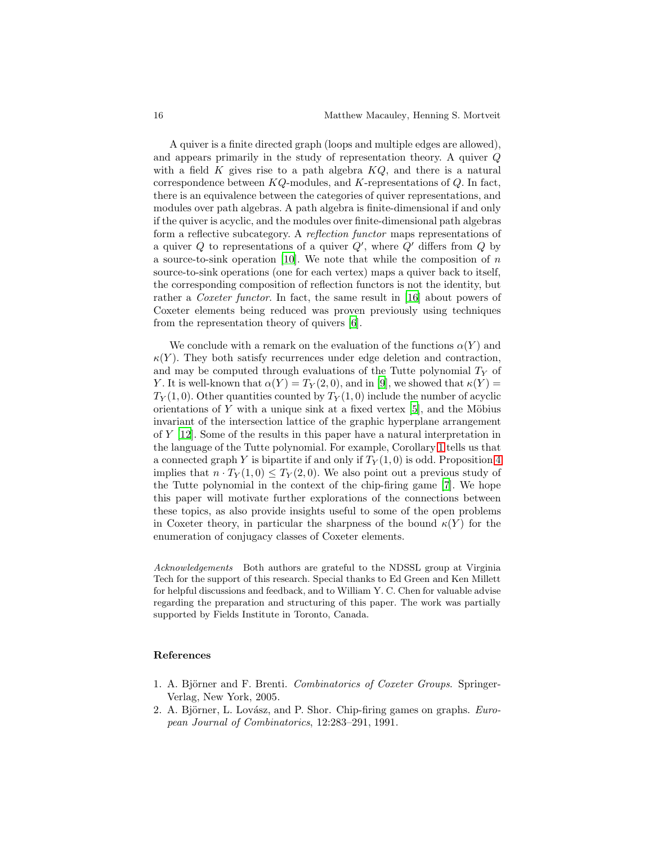A quiver is a finite directed graph (loops and multiple edges are allowed), and appears primarily in the study of representation theory. A quiver Q with a field  $K$  gives rise to a path algebra  $KQ$ , and there is a natural correspondence between  $KQ$ -modules, and K-representations of  $Q$ . In fact, there is an equivalence between the categories of quiver representations, and modules over path algebras. A path algebra is finite-dimensional if and only if the quiver is acyclic, and the modules over finite-dimensional path algebras form a reflective subcategory. A reflection functor maps representations of a quiver  $Q$  to representations of a quiver  $Q'$ , where  $Q'$  differs from  $Q$  by a source-to-sink operation [\[10](#page-17-9)]. We note that while the composition of  $n$ source-to-sink operations (one for each vertex) maps a quiver back to itself, the corresponding composition of reflection functors is not the identity, but rather a Coxeter functor. In fact, the same result in [\[16](#page-17-4)] about powers of Coxeter elements being reduced was proven previously using techniques from the representation theory of quivers [\[6](#page-17-10)].

We conclude with a remark on the evaluation of the functions  $\alpha(Y)$  and  $\kappa(Y)$ . They both satisfy recurrences under edge deletion and contraction, and may be computed through evaluations of the Tutte polynomial  $T_Y$  of Y. It is well-known that  $\alpha(Y) = T_Y(2,0)$ , and in [\[9](#page-17-0)], we showed that  $\kappa(Y) =$  $T_Y(1,0)$ . Other quantities counted by  $T_Y(1,0)$  include the number of acyclic orientations of Y with a unique sink at a fixed vertex  $[5]$ , and the Möbius invariant of the intersection lattice of the graphic hyperplane arrangement of Y [\[12](#page-17-12)]. Some of the results in this paper have a natural interpretation in the language of the Tutte polynomial. For example, Corollary [1](#page-7-2) tells us that a connected graph Y is bipartite if and only if  $T_Y(1,0)$  is odd. Proposition [4](#page-7-3) implies that  $n \cdot T_Y(1,0) \leq T_Y(2,0)$ . We also point out a previous study of the Tutte polynomial in the context of the chip-firing game [\[7\]](#page-17-13). We hope this paper will motivate further explorations of the connections between these topics, as also provide insights useful to some of the open problems in Coxeter theory, in particular the sharpness of the bound  $\kappa(Y)$  for the enumeration of conjugacy classes of Coxeter elements.

Acknowledgements Both authors are grateful to the NDSSL group at Virginia Tech for the support of this research. Special thanks to Ed Green and Ken Millett for helpful discussions and feedback, and to William Y. C. Chen for valuable advise regarding the preparation and structuring of this paper. The work was partially supported by Fields Institute in Toronto, Canada.

#### References

- <span id="page-16-0"></span>1. A. Björner and F. Brenti. Combinatorics of Coxeter Groups. Springer-Verlag, New York, 2005.
- <span id="page-16-1"></span>2. A. Björner, L. Lovász, and P. Shor. Chip-firing games on graphs.  $Euro$ pean Journal of Combinatorics, 12:283–291, 1991.